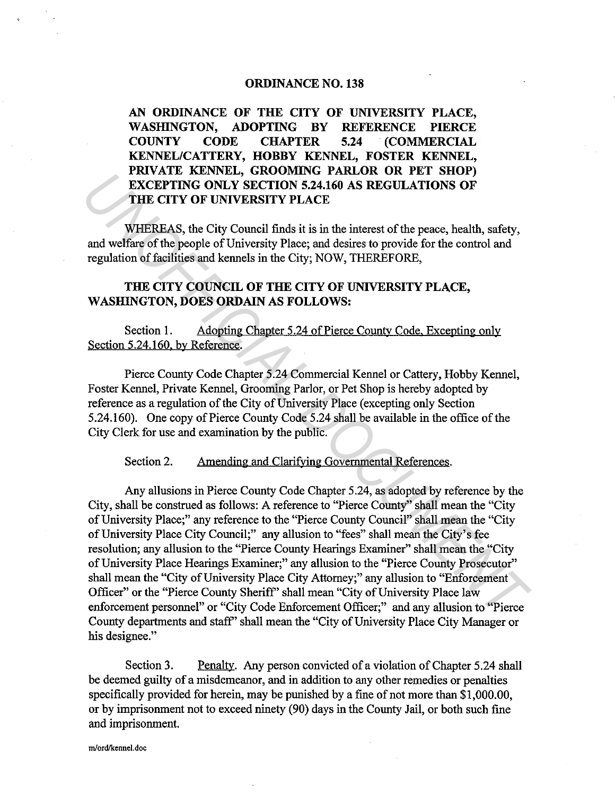# ORDINANCE NO. 138

AN ORDINANCE OF THE CITY OF UNIVERSITY PLACE, WASHINGTON, ADOPTING BY REFERENCE PIERCE COUNTY CODE CHAPTER 5.24 (COMMERCIAL KENNEL/CATTERY, HOBBY KENNEL, FOSTER KENNEL, PRIVATE KENNEL, GROOMING PARLOR OR PET SHOP) EXCEPTING ONLY SECTION 5.24.160 AS REGULATIONS OF THE CITY OF UNIVERSITY PLACE

WHEREAS, the City Council finds it is in the interest of the peace, health, safety, and welfare of the people of University Place; and desires to provide for the control and regulation of facilities and kennels in the City; NOW, THEREFORE,

# THE CITY COUNCIL OF THE CITY OF UNIVERSITY PLACE, WASHINGTON, DOES ORDAIN AS FOLLOWS:

Section 1. Adopting Chapter 5.24 of Pierce County Code. Excepting only Section 5.24.160. by Reference.

Pierce County Code Chapter 5.24 Commercial Kennel or Cattery, Hobby Kennel, Foster Kennel, Private Kennel, Grooming Parlor, or Pet Shop is hereby adopted by reference as a regulation of the City of University Place (excepting only Section 5.24.160). One copy of Pierce County Code 5.24 shall be available in the office of the City Clerk for use and examination by the public.

Section 2. Amending and Clarifying Governmental References.

Any allusions in Pierce County Code Chapter 5.24, as adopted by reference by the City, shall be construed as follows: A reference to "Pierce County" shall mean the "City of University Place;" any reference to the "Pierce County Council" shall mean the "City of University Place City Council;" any allusion to "fees" shall mean the City's fee resolution; any allusion to the "Pierce County Hearings Examiner" shall mean the "City of University Place Hearings Examiner;" any allusion to the "Pierce County Prosecutor" shall mean the "City of University Place City Attorney;" any allusion to "Enforcement Officer" or the "Pierce County Sheriff' shall mean "City of University Place law enforcement personnel" or "City Code Enforcement Officer;" and any allusion to "Pierce County departments and staff' shall mean the "City of University Place City Manager or his designee." **INVARIA RENTAINS, VACORITY ACTOR 5.24.160 AS REGULATIONS OF THE CITY OF UNIVERSITY PLACE<br>
WHEREAS, the City Council finds it is in the interest of the peace, health, safety, and welffare of the people of University Place** 

Section 3. Penalty. Any person convicted of a violation of Chapter 5.24 shall be deemed guilty of a misdemeanor, and in addition to any other remedies or penalties specifically provided for herein, may be punished by a fine of not more than \$1,000.00, or by imprisonment not to exceed ninety (90) days in the County Jail, or both such fine and imprisonment.

**m/ord/kennel.doc**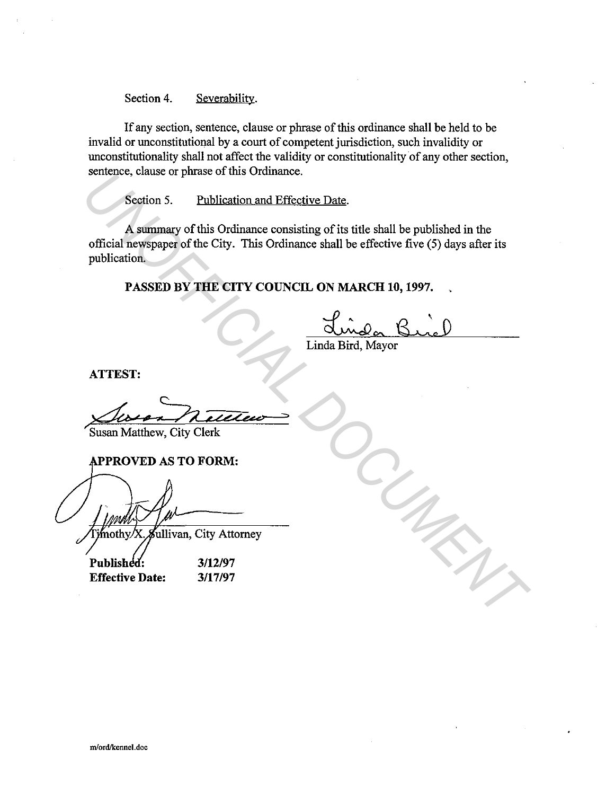Section 4. Severability.

If any section, sentence, clause or phrase of this ordinance shall be held to be invalid or unconstitutional by a court of competent jurisdiction, such invalidity or unconstitutionality shall not affect the validity or constitutionality of any other section, sentence, clause or phrase of this Ordinance.

Section 5. Publication and Effective Date.

A summary of this Ordinance consisting of its title shall be published in the official newspaper of the City. This Ordinance shall be effective five (5) days after its publication. Senience, clause of plasse of this Ordinance.<br>
Section 5. Publication and Effective Date.<br>
The algorithment consisting of its title shall be published in the<br>
official newspape of the City. This Ordinance shall be effectiv

**PASSED BY THE CITY COUNCIL ON MARCH 10, 1997.** 

Linda Bird, Mayor

**ATTEST:** 

Susan Matthew, City Clerk

**PPROVED AS TO FORM:** 

**Effective Date:** 

**3/12/97 3/17/97**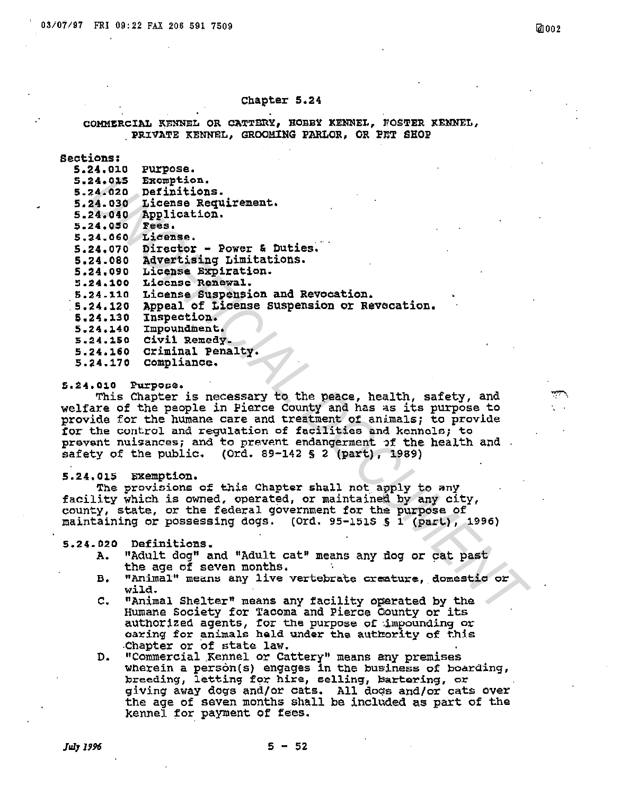## Chapter 5.24

# COMMERCIAL KENNEL OR CATTERY, HOBBY KENNEL, FOSTER KENNEL, PRIVATE KENNEL, GROOMING PARLOR, OR PET SHOP

# Sections:

| Exemption.<br>5.24.015<br>Definitions.<br>5.24.020<br>License Requirement.<br>5.24.030<br>Application.<br>5.24.040<br><b>Tees.</b><br>5.24.050<br>License.<br>5.24.060<br>Director - Power & Duties.<br>5.24.070<br>Advertising Limitations.<br>5.24.080<br>License Expiration.<br>5.24,090<br>License Renewal.<br>5.24.100<br>License Suspension and Revocation.<br>5.24.110<br>Appeal of License Suspension or Revecation.<br>Inspection.<br>5.24.130<br>Impoundment.<br>5.24.140 | 5.24.010 | <b>Purpose.</b> |
|-------------------------------------------------------------------------------------------------------------------------------------------------------------------------------------------------------------------------------------------------------------------------------------------------------------------------------------------------------------------------------------------------------------------------------------------------------------------------------------|----------|-----------------|
|                                                                                                                                                                                                                                                                                                                                                                                                                                                                                     |          |                 |
|                                                                                                                                                                                                                                                                                                                                                                                                                                                                                     |          |                 |
|                                                                                                                                                                                                                                                                                                                                                                                                                                                                                     |          |                 |
|                                                                                                                                                                                                                                                                                                                                                                                                                                                                                     |          |                 |
|                                                                                                                                                                                                                                                                                                                                                                                                                                                                                     |          |                 |
|                                                                                                                                                                                                                                                                                                                                                                                                                                                                                     |          |                 |
|                                                                                                                                                                                                                                                                                                                                                                                                                                                                                     |          |                 |
|                                                                                                                                                                                                                                                                                                                                                                                                                                                                                     |          |                 |
|                                                                                                                                                                                                                                                                                                                                                                                                                                                                                     |          |                 |
|                                                                                                                                                                                                                                                                                                                                                                                                                                                                                     |          |                 |
|                                                                                                                                                                                                                                                                                                                                                                                                                                                                                     |          |                 |
|                                                                                                                                                                                                                                                                                                                                                                                                                                                                                     | 5.24.120 |                 |
|                                                                                                                                                                                                                                                                                                                                                                                                                                                                                     |          |                 |
|                                                                                                                                                                                                                                                                                                                                                                                                                                                                                     |          |                 |
|                                                                                                                                                                                                                                                                                                                                                                                                                                                                                     | 5.24.150 | Civil Remedy.   |
| Criminal Penalty.<br>5.24.160                                                                                                                                                                                                                                                                                                                                                                                                                                                       |          |                 |
| Compliance.<br>5.24.170                                                                                                                                                                                                                                                                                                                                                                                                                                                             |          |                 |

## 5.24.010 Purpose.

This Chapter is necessary to the peace, health, safety, and welfare of the people in Pierce County and has as its purpose to provide for the humane care and treatment of animals; to provide for the control and regulation of facilities and kennels; to prevent nuisances; and to prevent endangerment of the health and. safety of the public. (Ord. 89-142 § 2 (part), 1989)

# 5.24.015 Exemption.

The provisions of this Chapter shall not apply to any facility which is owned, operated, or maintained by any city, county, state, or the federal government for the purpose of maintaining or possessing dogs. (Ord. 95-151S § 1 (part), 1996)

#### 5.24.020 Definitions.

- "Adult dog" and "Adult cat" means any dog or cat past Α. the age of seven months.
- "Animal" means any live vertebrate creature, domestic or в. wild.
- $\mathbf{C}_{\bullet}$ "Animal Shelter" means any facility operated by the Humane Society for Tacoma and Pierce County or its authorized agents, for the purpose of impounding or caring for animals held under the authority of this Chapter or of state law.
- "Commercial Kennel or Cattery" means any premises D. wherein a person(s) engages in the business of boarding, breeding, letting for hire, selling, bartering, or giving away dogs and/or cats. All dogs and/or cats over the age of seven months shall be included as part of the kennel for payment of fees.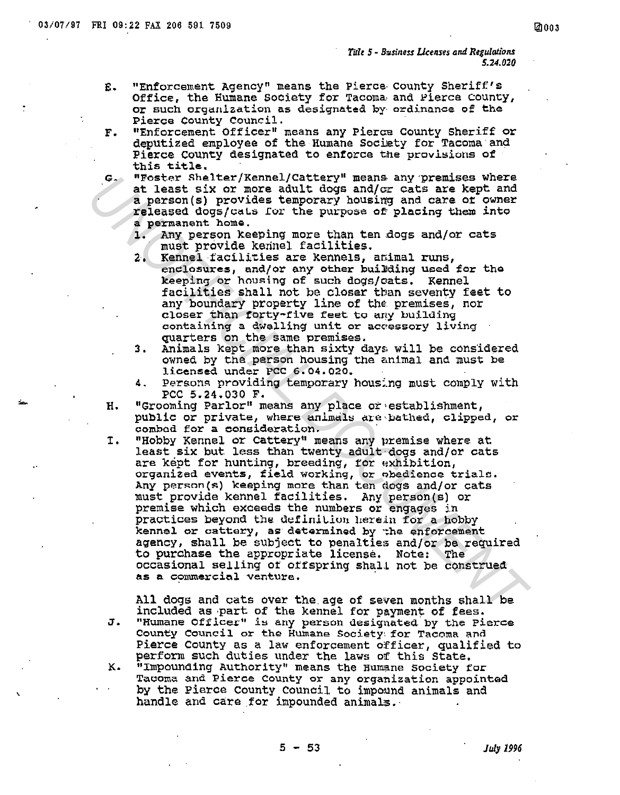- "Enforcement Agency" means the Pierce County Sheriff's E. Office, the Humane Society for Tacoma and Pierce County, Or such organization as designated by ordinance of the Pierce County Council.
- "Enforcement Officer" means any Pierce County Sheriff or F. deputized employee of the Humane Society for Tacoma and Pierce County designated to enforce the provisions of this title.
- "Foster Shelter/Kennel/Cattery" means any premises where  $G_{\pm}$ at least six or more adult dogs and/or cats are kept and a person(s) provides temporary housing and care of owner released dogs/cats for the purpose of placing them into a permanent home.
	- $1.$ Any person keeping more than ten dogs and/or cats must provide kennel facilities.
	- Kennel facilities are kennels, amimal runs, 2. enclosures, and/or any other building used for the keeping or housing of such dogs/cats. Kennel facilities shall not be closer than seventy feet to any boundary property line of the premises, nor closer than forty-five feet to any building containing a dwelling unit or accessory living quarters on the same premises.
	- Animals kept more than sixty days will be considered 3. owned by the person housing the animal and must be licensed under PCC 6.04.020.
	- Persons providing temporary housing must comply with 4. PCC 5.24.030 F.
- "Grooming Parlor" means any place or establishment, н. public or private, where animals are bathed, clipped, or combod for a consideration.
- "Hobby Kennel or Cattery" means any premise where at I. least six but less than twenty adult dogs and/or cats are kept for hunting, breeding, for exhibition, organized events, field working, or obedience trials. Any person(s) keeping more than ten dogs and/or cats must provide kennel facilities. Any person(s) or premise which exceeds the numbers or engages in practices beyond the definition herein for a hobby kennel or cattery, as determined by the enforcement agency, shall be subject to penalties and/or be required to purchase the appropriate license. Note: The occasional selling of offspring shall not be construed as a commercial venture.

All dogs and cats over the age of seven months shall be included as part of the kennel for payment of fees. "Humane Officer" is any person designated by the Pierce J. County Council or the Humane Society for Tacoma and Pierce County as a law enforcement officer, qualified to perform such duties under the laws of this State. "Impounding Authority" means the Humane Society for ĸ. Tacoma and Pierce County or any organization appointed by the Pierce County Council to impound animals and handle and care for impounded animals.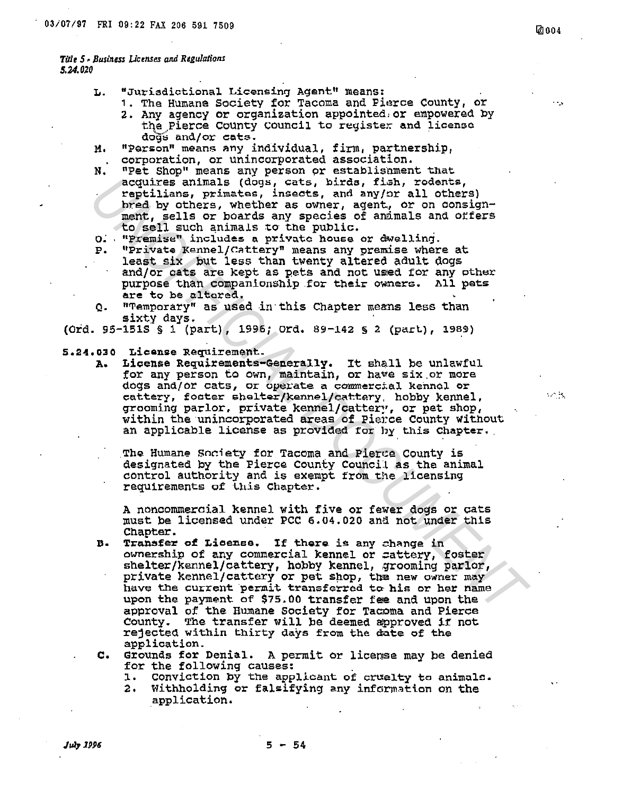## Title 5 - Business Licenses and Regulations 5.24.020

- L. "Jurisdictional Licensing Agent" means:
	- 1. The Humane Society for Tacoma and Pierce County, or
	- 2. Any agency or organization appointed or empowered by the Pierce County Council to register and license dogs and/or cats.
- "Person" means any individual, firm, partnership, и. corporation, or unincorporated association.
- "Pet Shop" means any person or establishment that N. acquires animals (dogs, cats, birds, fish, rodents, reptilians, primates, insects, and any/or all others) bred by others, whether as owner, agent, or on consignment, sells or boards any species of animals and offers to sell such animals to the public.
- O. "Premise" includes a private house or dwelling.
- "Private Kennel/Cattery" means any premise where at P. least six but less than twenty altered adult dogs and/or cats are kept as pets and not used for any other purpose than companionship for their owners. All pets are to be altered.
- "Temporary" as used in this Chapter means less than Q. sixty days.

(Ord. 95-151S § 1 (part), 1996; Ord. 89-142 § 2 (part), 1989)

## 5.24.030 License Requirement.

License Requirements-Generally. It shall be unlawful А. for any person to own, maintain, or have six or more dogs and/or cats, or operate a commercial kennol or cattery, focter shelter/kennel/cattery, hobby kennel, grooming parlor, private kennel/cattery, or pet shop, within the unincorporated areas of Pierce County without an applicable license as provided for by this Chapter.

The Humane Society for Tacoma and Pierce County is designated by the Pierce County Council as the animal control authority and is exempt from the licensing requirements of this Chapter.

A noncommercial kennel with five or fewer dogs or cats must be licensed under PCC 6.04.020 and not under this Chapter.

- Transfer of License. If there is any change in B. ownership of any commercial kennel or sattery, foster shelter/kennel/cattery, hobby kennel, grooming parlor, private kennel/cattery or pet shop, the new owner may have the current permit transferred to his or her name upon the payment of \$75.00 transfer fee and upon the approval of the Humane Society for Tacoma and Pierce County. The transfer will be deemed approved if not rejected within thirty days from the date of the application.
- Grounds for Denial. A permit or license may be denied  $\mathbf{c}$ . for the following causes:
	- Conviction by the applicant of cruelty to animals. 1.
	- $\mathbf{2.}$ Withholding or falsifying any information on the application.

**2004** 

 $\mathcal{L} \subset \mathcal{M}$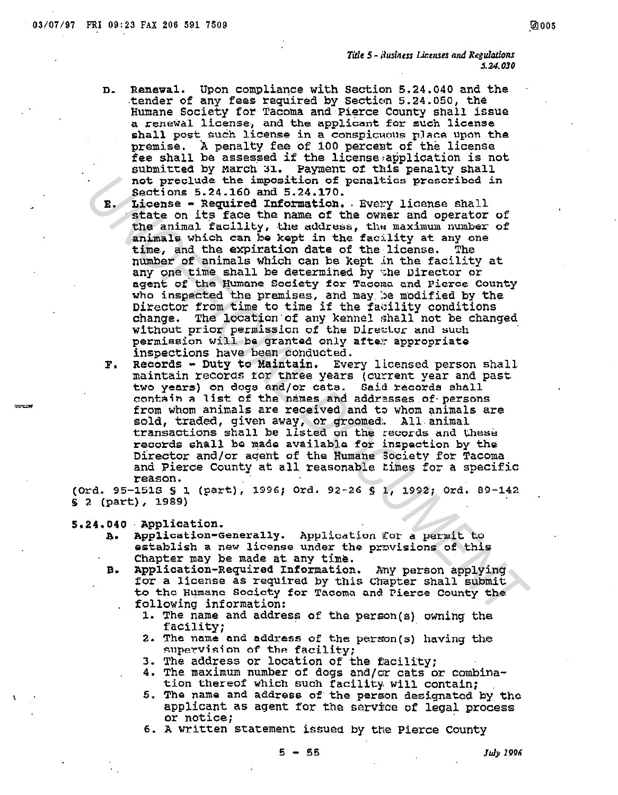- Renewal. Upon compliance with Section 5.24.040 and the  $\mathbf{n}$ . tender of any fees required by Section 5.24.050, the Humane Society for Tacoma and Pierce County shall issue a renewal license, and the applicant for such license shall post such license in a conspicuous place upon the premise. A penalty fee of 100 percent of the license fee shall be assessed if the license application is not submitted by March 31. Payment of this penalty shall not preclude the imposition of penaltics prescribed in Sections 5.24.160 and 5.24.170.
- License Required Information. Every license shall  $\mathbf{E}$ . state on its face the name of the owner and operator of the animal facility, the address, the maximum number of animals which can be kept in the facility at any one time, and the expiration date of the license. The number of animals which can be kept in the facility at any one time shall be determined by the Director or agent of the Humane Society for Tacoma and Pierce County who inspected the premises, and may be modified by the Director from time to time if the facility conditions change. The location of any kennel shall not be changed without prior permission of the Director and such permission will be granted only after appropriate inspections have been conducted.
- Records Duty to Maintain. Every licensed person shall  $\mathbf{r}$ . maintain records for three years (current year and past two years) on dogs and/or cats. Said records shall contain a list of the names and addresses of persons from whom animals are received and to whom animals are sold, traded, given away, or groomed. All animal transactions shall be listed on the records and these records shall be made available for inspection by the Director and/or agent of the Humane Society for Tacoma and Pierce County at all reasonable times for a specific reason.

(Ord. 95-151S § 1 (part), 1996; Ord. 92-26 § 1, 1992; Ord. 89-142 **§ 2 (part), 1989)** 

5.24.040 Application.

- Application-Generally. Application for a permit to A. establish a new license under the provisions of this Chapter may be made at any time.
- Application-Required Information. Any person applying в. for a license as required by this Chapter shall submit to the Humane Society for Tacoma and Pierce County the following information:
	- 1. The name and address of the person(s) owning the facility;
	- 2. The name and address of the person(s) having the supervision of the facility;
	- 3. The address or location of the facility;
	- 4. The maximum number of dogs and/or cats or combination thereof which such facility will contain;
	- 5. The name and address of the person designated by the applicant as agent for the service of legal process or notice:
	- 6. A written statement issued by the Pierce County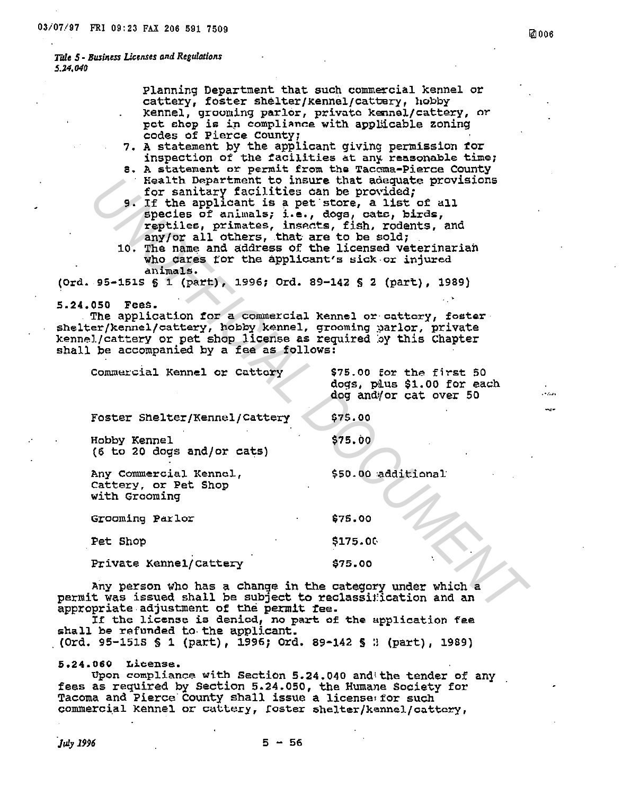Planning Department that such commercial kennel or cattery, foster shelter/kennel/cattery, hobby kennel, grooming parlor, private kennel/cattery, or pot shop is in compliance with applicable zoning codes of Pierce County;

- 7. A statement by the applicant giving permission for inspection of the facilities at any reasonable time;
- 8. A statement or permit from the Tacoma-Pierce County Health Department to insure that adequate provisions for sanitary facilities can be provided:
- 9. If the applicant is a pet store, a list of all species of animals; i.e., dogs, cate, birds,<br>reptiles, primates, insects, fish, rodents, and any/or all others, that are to be sold;
- 10. The name and address of the licensed veterinarian who cares for the applicant's sick or injured animals.

(Ord. 95-151S § 1 (part), 1996; Ord. 89-142 § 2 (part), 1989)

5.24.050 Fees.

The application for a commercial kennel or cattery, fester shelter/kennel/cattery, hobby kennel, grooming parlor, private kennel/cattery or pet shop license as required by this Chapter shall be accompanied by a fee as follows:

| \$75.00 for the first 50<br>dogs, plus \$1.00 for each<br>dog and/or cat over 50 |
|----------------------------------------------------------------------------------|
| \$75.00                                                                          |
| \$75.00                                                                          |
| \$50.00 additional                                                               |
| \$75.00                                                                          |
| \$175.00                                                                         |
| \$75.00                                                                          |
|                                                                                  |

Any person who has a change in the category under which a permit was issued shall be subject to reclassification and an appropriate adjustment of the permit fee.

If the license is denied, no part of the application fee shall be refunded to the applicant.

(Ord. 95-151S § 1 (part), 1996; Ord. 89-142 § 3 (part), 1989)

5.24.060 License.

Upon compliance with Section 5.24.040 and the tender of any fees as required by Section 5.24.050, the Humane Society for Tacoma and Pierce County shall issue a license for such commercial kennel or cattery, foster shelter/kennel/cattery,

July 1996

لمدرون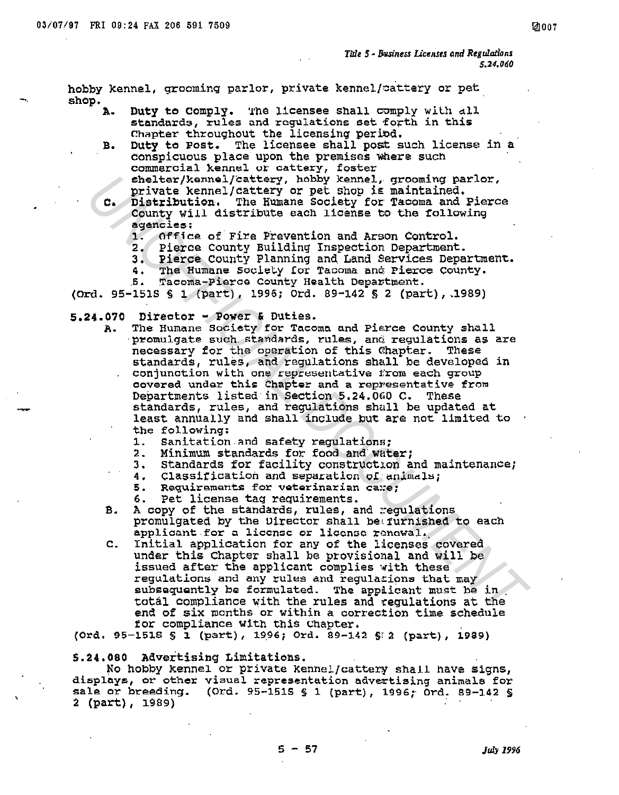hobby kennel, grooming parlor, private kennel/cattery or pet shop.

Duty to Comply. The licensee shall comply with all  $\mathbf{A}_{\bullet}$ standards, rules and requlations set forth in this Chapter throughout the licensing period.

Duty to Post. The licensee shall post such license in a B. conspicuous place upon the premises where such commercial kennel or cattery, foster shelter/kennel/cattery, hobby kennel, grooming parlor,

- private kennel/cattery or pet shop is maintained. Distribution. The Humane Society for Tacoma and Pierce c. County Will distribute each license to the following agencies:
	- $\mathbf{1}$ . Office of Fire Prevention and Arson Control.
	- 2. Pierce County Building Inspection Department.
	- 3. Pierce County Planning and Dand County.<br>4. The Humane Society for Tacoma and Pierce County. Pierce County Planning and Land Services Department.
	-
	-

(Ord. 95-151S § 1 (part), 1996; Ord. 89-142 § 2 (part), 1989)

- $5.24.070$  Director Power & Duties.
	- The Humane Society for Tacoma and Pierce County shall A. promulgate such standards, rules, and regulations as are necessary for the operation of this Chapter. These standards, rules, and requiations shall be developed in conjunction with one representative from each group covered under this Chapter and a representative from Departments listed in Section 5.24.060 C. These standards, rules, and requlations shall be updated at least annually and shall include but are not limited to the following:
		- Sanitation and safety requlations;  $1.$
		- 2. Minimum standards for food and water;
		- 3. Standards for facility construction and maintenance;
		- Classification and separation of animals; 4.
		- Requirements for veterinarian care;  $5.$
		- Pet license tag requirements. 6.
	- $\mathbf{B}$ . A copy of the standards, rules, and requistions promulgated by the Director shall be furnished to each applicant for a license or license renewal.
	- $\mathbf{c}$ . Initial application for any of the licenses covered under this Chapter shall be provisional and will be issued after the applicant complies with these regulations and any rules and regulations that may subsequently be formulated. The applicant must be in total compliance with the rules and regulations at the end of six months or within a correction time schedule for compliance with this Chapter.

(Ord. 95-1518 § 1 (part), 1996; Ord. 89-142 § 2 (part), 1989)

5.24.080 Advertising Limitations.

No hobby kennel or private kennel/cattery shail have signs, displays, or other visual representation advertising animals for sale or breeding. (Ord. 95-1515 § 1 (part), 1996; Ord. 89-142 § 2 (part), 1989)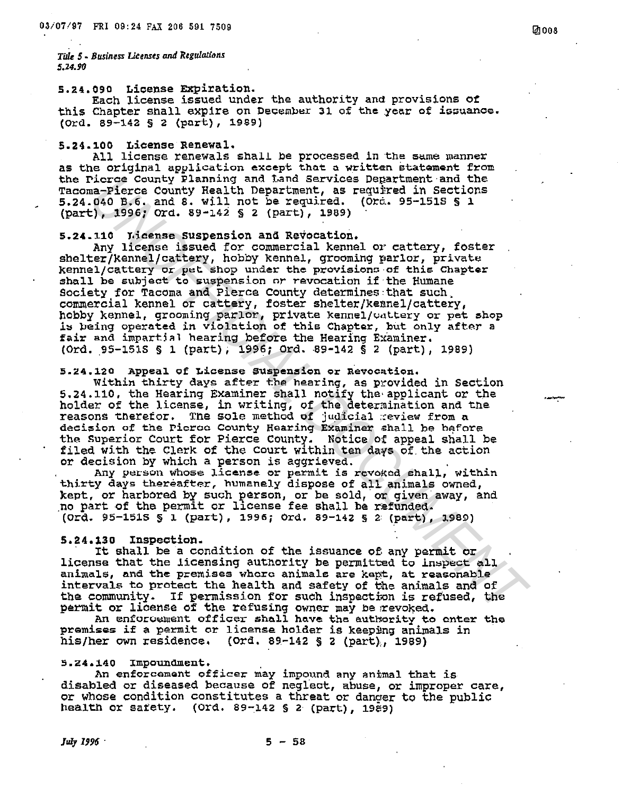# 5.24.090 License Expiration.

Each license issued under the authority and provisions of this Chapter shall expire on December 31 of the year of issuance. (Ord. 89-142 § 2 (part), 1989)

### 5.24.100 License Renewal.

All license renewals shall be processed in the same manner as the original application except that a written statement from the Picroe County Planning and Land Services Department and the Tacoma-Pierce County Health Department, as required in Sections 5.24.040 B.6. and 8. will not be required. (Ord. 95-151S § 1 (part), 1996; Ord. 89-142 § 2 (part), 1989)

#### License Suspension and Revocation.  $5.24.110$

Any license issued for commercial kennel or cattery, foster shelter/kennel/cattery, hobby kennel, grooming parlor, private kennel/cattery or pet shop under the provisions of this Chapter shall be subject to suspension or revocation if the Humane Society for Tacoma and Pierce County determines that such commercial kennel or cattery, foster shelter/kennel/cattery, hobby kennel, grooming parlor, private kennel/wattery or pet shop is being operated in violation of this Chapter, but only after a fair and impartial hearing before the Hearing Examiner. (Ord. 95-151S § 1 (part); 1996; Ord. 89-142 § 2 (part), 1989)

# 5.24.120 Appeal of License Suspension or Revocation.

Within thirty days after the hearing, as provided in Section 5.24.110, the Hearing Examiner shall notify the applicant or the holder of the license, in writing, of the determination and the reasons therefor. The sole method of judicial review from a decision of the Picroo County Hearing Examiner shall be before the Superior Court for Pierce County. Notice of appeal shall be filed with the Clerk of the Court within ten days of the action or decision by which a person is aggrieved.

Any person whose license or permit is revoked shall, within thirty days thereafter, humanely dispose of all animals owned, kept, or harbored by such person, or be sold, or given away, and no part of the permit or license fee shall be refunded. (Ord. 95-151S § 1 (part), 1996; Ord. 89-142 § 2 (part), 1989)

### 5.24.130 Inspection.

It shall be a condition of the issuance of any permit or license that the licensing authority be permitted to inspect all animals, and the premises where animals are kept, at reasonable intervals to protect the health and safety of the animals and of the community. If permission for such inspection is refused, the permit or license of the refusing owner may be revoked.

An enforcement officer shall have the authority to enter the premises if a permit or license holder is keeping animals in his/her own residence. (Ord. 89-142 § 2 (part), 1989)

## 5.24.140 Impoundment.

An enforcement officer may impound any animal that is disabled or diseased because of neglect, abuse, or improper care, or whose condition constitutes a threat or danger to the public health or safety.  $(0rd. 89-142 \t{5} 2 (part). 19e9)$